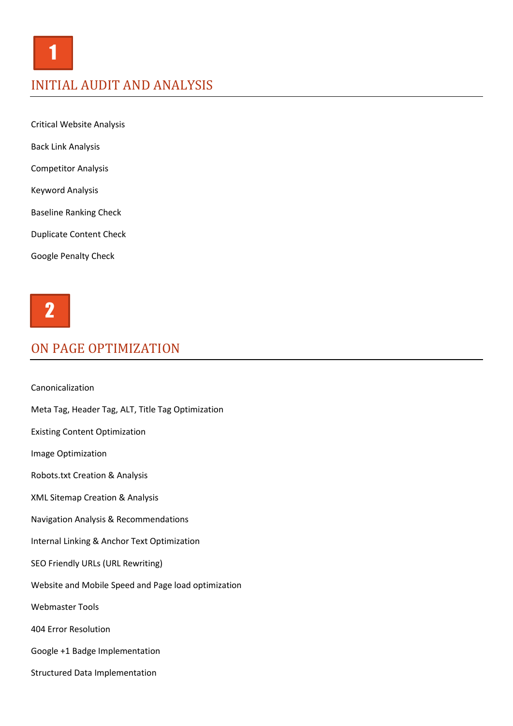Critical Website Analysis

Back Link Analysis

Competitor Analysis

Keyword Analysis

Baseline Ranking Check

Duplicate Content Check

Google Penalty Check



# ON PAGE OPTIMIZATION

Canonicalization Meta Tag, Header Tag, ALT, Title Tag Optimization Existing Content Optimization Image Optimization Robots.txt Creation & Analysis XML Sitemap Creation & Analysis Navigation Analysis & Recommendations Internal Linking & Anchor Text Optimization SEO Friendly URLs (URL Rewriting) Website and Mobile Speed and Page load optimization Webmaster Tools 404 Error Resolution Google +1 Badge Implementation Structured Data Implementation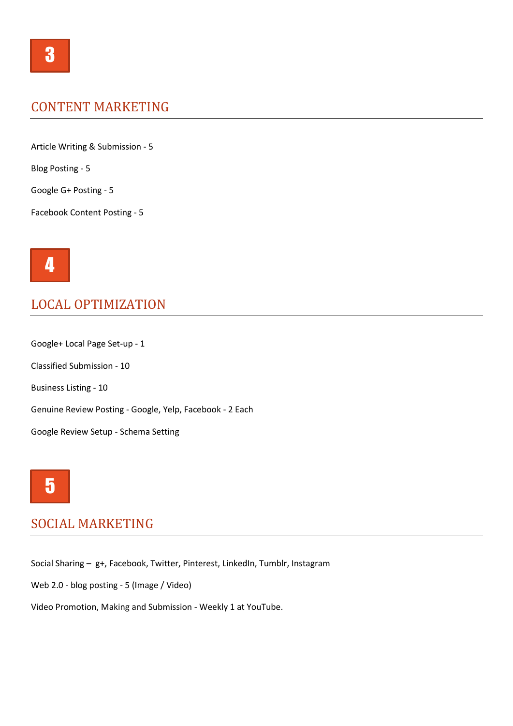#### CONTENT MARKETING

Article Writing & Submission - 5

Blog Posting - 5

Google G+ Posting - 5

Facebook Content Posting - 5



#### LOCAL OPTIMIZATION

Google+ Local Page Set-up - 1 Classified Submission - 10 Business Listing - 10 Genuine Review Posting - Google, Yelp, Facebook - 2 Each Google Review Setup - Schema Setting



## SOCIAL MARKETING

Social Sharing – g+, Facebook, Twitter, Pinterest, LinkedIn, Tumblr, Instagram

Web 2.0 - blog posting - 5 (Image / Video)

Video Promotion, Making and Submission - Weekly 1 at YouTube.